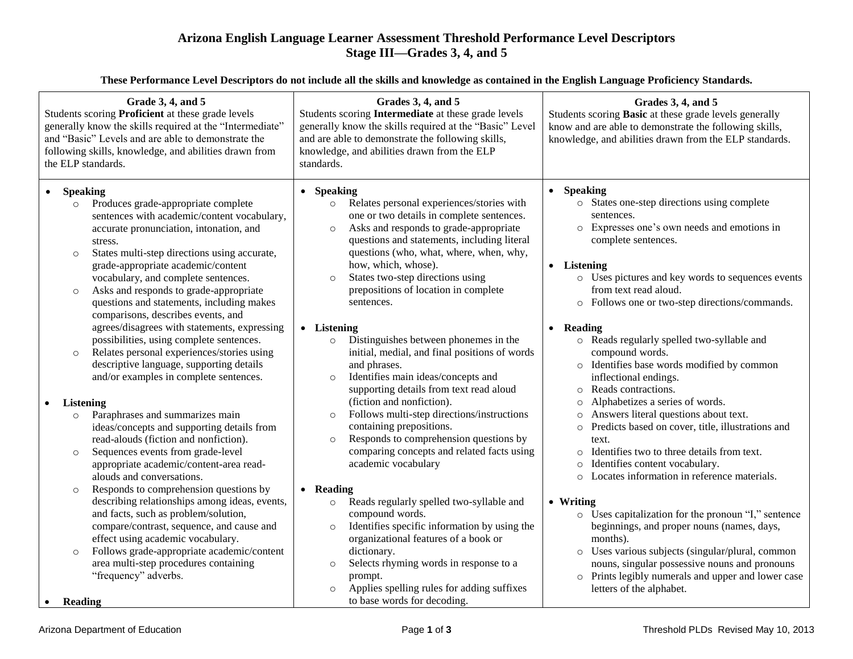## **Arizona English Language Learner Assessment Threshold Performance Level Descriptors Stage III—Grades 3, 4, and 5**

**These Performance Level Descriptors do not include all the skills and knowledge as contained in the English Language Proficiency Standards.**

| Grade 3, 4, and 5<br>Students scoring Proficient at these grade levels<br>generally know the skills required at the "Intermediate"<br>and "Basic" Levels and are able to demonstrate the<br>following skills, knowledge, and abilities drawn from<br>the ELP standards.                                                                                                                                                                                                        | Grades 3, 4, and 5<br>Students scoring Intermediate at these grade levels<br>generally know the skills required at the "Basic" Level<br>and are able to demonstrate the following skills,<br>knowledge, and abilities drawn from the ELP<br>standards.                                                                                                                                                                                            | Grades 3, 4, and 5<br>Students scoring Basic at these grade levels generally<br>know and are able to demonstrate the following skills,<br>knowledge, and abilities drawn from the ELP standards.                                                                                                                                                                                                                       |
|--------------------------------------------------------------------------------------------------------------------------------------------------------------------------------------------------------------------------------------------------------------------------------------------------------------------------------------------------------------------------------------------------------------------------------------------------------------------------------|---------------------------------------------------------------------------------------------------------------------------------------------------------------------------------------------------------------------------------------------------------------------------------------------------------------------------------------------------------------------------------------------------------------------------------------------------|------------------------------------------------------------------------------------------------------------------------------------------------------------------------------------------------------------------------------------------------------------------------------------------------------------------------------------------------------------------------------------------------------------------------|
| <b>Speaking</b><br>Produces grade-appropriate complete<br>$\circ$<br>sentences with academic/content vocabulary,<br>accurate pronunciation, intonation, and<br>stress.<br>States multi-step directions using accurate,<br>$\circ$<br>grade-appropriate academic/content<br>vocabulary, and complete sentences.<br>Asks and responds to grade-appropriate<br>$\circ$<br>questions and statements, including makes<br>comparisons, describes events, and                         | • Speaking<br>Relates personal experiences/stories with<br>$\circ$<br>one or two details in complete sentences.<br>Asks and responds to grade-appropriate<br>$\circ$<br>questions and statements, including literal<br>questions (who, what, where, when, why,<br>how, which, whose).<br>States two-step directions using<br>$\circ$<br>prepositions of location in complete<br>sentences.                                                        | <b>Speaking</b><br>o States one-step directions using complete<br>sentences.<br>o Expresses one's own needs and emotions in<br>complete sentences.<br>• Listening<br>o Uses pictures and key words to sequences events<br>from text read aloud.<br>o Follows one or two-step directions/commands.                                                                                                                      |
| agrees/disagrees with statements, expressing<br>possibilities, using complete sentences.<br>Relates personal experiences/stories using<br>$\circ$<br>descriptive language, supporting details<br>and/or examples in complete sentences.<br><b>Listening</b><br>Paraphrases and summarizes main<br>$\circ$<br>ideas/concepts and supporting details from<br>read-alouds (fiction and nonfiction).                                                                               | • Listening<br>Distinguishes between phonemes in the<br>$\circ$<br>initial, medial, and final positions of words<br>and phrases.<br>Identifies main ideas/concepts and<br>$\circ$<br>supporting details from text read aloud<br>(fiction and nonfiction).<br>Follows multi-step directions/instructions<br>$\circ$<br>containing prepositions.<br>Responds to comprehension questions by<br>$\circ$<br>comparing concepts and related facts using | • Reading<br>o Reads regularly spelled two-syllable and<br>compound words.<br>o Identifies base words modified by common<br>inflectional endings.<br>Reads contractions.<br>$\circ$<br>Alphabetizes a series of words.<br>$\circ$<br>Answers literal questions about text.<br>Predicts based on cover, title, illustrations and<br>$\circ$<br>text.<br>Identifies two to three details from text.                      |
| Sequences events from grade-level<br>$\circ$<br>appropriate academic/content-area read-<br>alouds and conversations.<br>Responds to comprehension questions by<br>$\circ$<br>describing relationships among ideas, events,<br>and facts, such as problem/solution,<br>compare/contrast, sequence, and cause and<br>effect using academic vocabulary.<br>Follows grade-appropriate academic/content<br>$\circ$<br>area multi-step procedures containing<br>"frequency" adverbs. | academic vocabulary<br>• Reading<br>Reads regularly spelled two-syllable and<br>$\circ$<br>compound words.<br>Identifies specific information by using the<br>$\circ$<br>organizational features of a book or<br>dictionary.<br>Selects rhyming words in response to a<br>$\circ$<br>prompt.<br>Applies spelling rules for adding suffixes                                                                                                        | $\circ$<br>Identifies content vocabulary.<br>$\circ$<br>Locates information in reference materials.<br>• Writing<br>o Uses capitalization for the pronoun "I," sentence<br>beginnings, and proper nouns (names, days,<br>months).<br>Uses various subjects (singular/plural, common<br>nouns, singular possessive nouns and pronouns<br>o Prints legibly numerals and upper and lower case<br>letters of the alphabet. |
| <b>Reading</b>                                                                                                                                                                                                                                                                                                                                                                                                                                                                 | $\circ$<br>to base words for decoding.                                                                                                                                                                                                                                                                                                                                                                                                            |                                                                                                                                                                                                                                                                                                                                                                                                                        |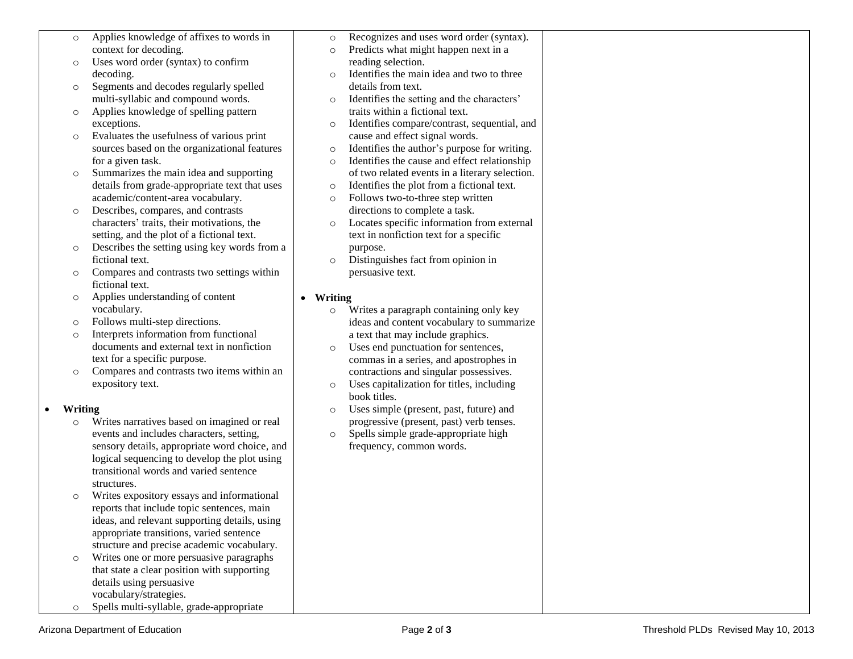- o Applies knowledge of affixes to words in context for decoding.
- o Uses word order (syntax) to confirm decoding.
- o Segments and decodes regularly spelled multi-syllabic and compound words.
- o Applies knowledge of spelling pattern exceptions.
- o Evaluates the usefulness of various print sources based on the organizational features for a given task.
- o Summarizes the main idea and supporting details from grade-appropriate text that uses academic/content-area vocabulary.
- o Describes, compares, and contrasts characters' traits, their motivations, the setting, and the plot of a fictional text.
- o Describes the setting using key words from a fictional text.
- o Compares and contrasts two settings within fictional text.
- o Applies understanding of content vocabulary.
- o Follows multi-step directions.
- o Interprets information from functional documents and external text in nonfiction text for a specific purpose.
- o Compares and contrasts two items within an expository text.

## **Writing**

- o Writes narratives based on imagined or real events and includes characters, setting, sensory details, appropriate word choice, and logical sequencing to develop the plot using transitional words and varied sentence structures.
- o Writes expository essays and informational reports that include topic sentences, main ideas, and relevant supporting details, using appropriate transitions, varied sentence structure and precise academic vocabulary.
- o Writes one or more persuasive paragraphs that state a clear position with supporting details using persuasive vocabulary/strategies.
- o Spells multi-syllable, grade-appropriate
- o Recognizes and uses word order (syntax). o Predicts what might happen next in a reading selection. o Identifies the main idea and two to three details from text. o Identifies the setting and the characters' traits within a fictional text. o Identifies compare/contrast, sequential, and cause and effect signal words. o Identifies the author's purpose for writing. o Identifies the cause and effect relationship of two related events in a literary selection. o Identifies the plot from a fictional text. o Follows two-to-three step written directions to complete a task. o Locates specific information from external text in nonfiction text for a specific purpose. o Distinguishes fact from opinion in persuasive text. **Writing** o Writes a paragraph containing only key
	- ideas and content vocabulary to summarize a text that may include graphics.
	- o Uses end punctuation for sentences, commas in a series, and apostrophes in contractions and singular possessives.
	- o Uses capitalization for titles, including book titles.
	- o Uses simple (present, past, future) and progressive (present, past) verb tenses.
	- o Spells simple grade-appropriate high frequency, common words.